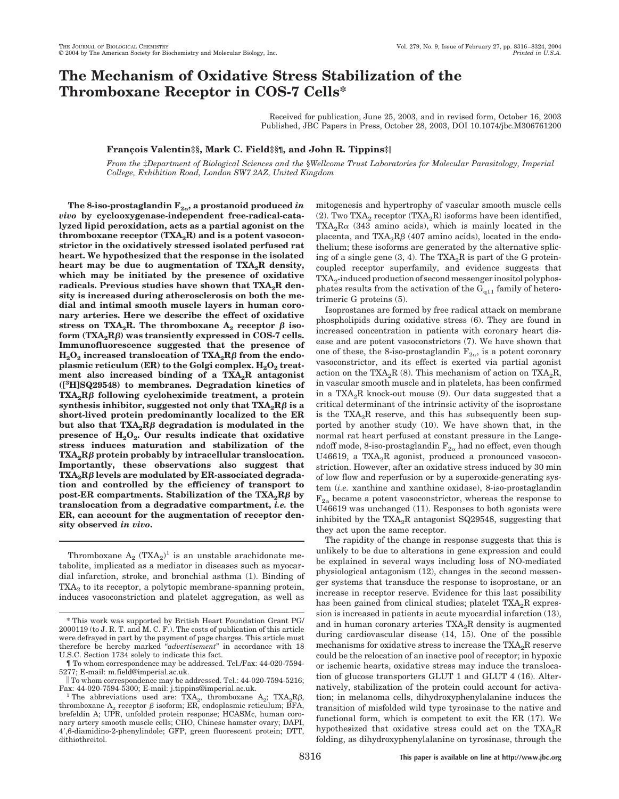# **The Mechanism of Oxidative Stress Stabilization of the Thromboxane Receptor in COS-7 Cells\***

Received for publication, June 25, 2003, and in revised form, October 16, 2003 Published, JBC Papers in Press, October 28, 2003, DOI 10.1074/jbc.M306761200

# **Franc¸ois Valentin‡§, Mark C. Field‡§¶, and John R. Tippins‡**

*From the* ‡*Department of Biological Sciences and the* §*Wellcome Trust Laboratories for Molecular Parasitology, Imperial College, Exhibition Road, London SW7 2AZ, United Kingdom*

The 8-iso-prostaglandin  $F_{2\alpha}$ , a prostanoid produced *in vivo* **by cyclooxygenase-independent free-radical-catalyzed lipid peroxidation, acts as a partial agonist on the** thromboxane receptor (TXA<sub>2</sub>R) and is a potent vasocon**strictor in the oxidatively stressed isolated perfused rat heart. We hypothesized that the response in the isolated** heart may be due to augmentation of TXA<sub>2</sub>R density, **which may be initiated by the presence of oxidative** radicals. Previous studies have shown that TXA<sub>2</sub>R den**sity is increased during atherosclerosis on both the medial and intimal smooth muscle layers in human coronary arteries. Here we describe the effect of oxidative** stress on TXA<sub>2</sub>R. The thromboxane  $A_2$  receptor  $\beta$  isoform  $(TXA_2R\beta)$  was transiently expressed in COS-7 cells. **Immunofluorescence suggested that the presence of**  $\rm H_2O_2$  increased translocation of  $\rm{TXA_2R}\beta$  from the endo**plasmic reticulum (ER) to the Golgi complex. H<sub>2</sub>O<sub>2</sub> treat**ment also increased binding of a TXA<sub>2</sub>R antagonist **([3 H]SQ29548) to membranes. Degradation kinetics of TXA2R**- **following cycloheximide treatment, a protein**  $\mathbf{s}$ ynthesis inhibitor, suggested not only that  $\mathbf{T} \mathbf{X} \mathbf{A}_2 \mathbf{R} \boldsymbol{\beta}$  is a **short-lived protein predominantly localized to the ER** but also that  $TXA_2R\beta$  degradation is modulated in the presence of  $H_2O_2$ . Our results indicate that oxidative **stress induces maturation and stabilization of the TXA<sub>2</sub>Rβ protein probably by intracellular translocation. Importantly, these observations also suggest that TXA<sub>2</sub>Rβ** levels are modulated by ER-associated degrada**tion and controlled by the efficiency of transport to**  $\mathbf{post-ER\,\,}$  compartments. Stabilization of the  $\mathbf{T} \mathbf{XA}_2 \mathbf{R} \boldsymbol{\beta}$  by **translocation from a degradative compartment,** *i.e.* **the ER, can account for the augmentation of receptor density observed** *in vivo***.**

Thromboxane  $A_2$  (TX $A_2$ )<sup>1</sup> is an unstable arachidonate metabolite, implicated as a mediator in diseases such as myocardial infarction, stroke, and bronchial asthma (1). Binding of  $TXA<sub>2</sub>$  to its receptor, a polytopic membrane-spanning protein, induces vasoconstriction and platelet aggregation, as well as

mitogenesis and hypertrophy of vascular smooth muscle cells (2). Two TXA<sub>2</sub> receptor (TXA<sub>2</sub>R) isoforms have been identified,  $TXA_2R\alpha$  (343 amino acids), which is mainly located in the placenta, and  $\text{T} \text{XA}_2 \text{R} \beta$  (407 amino acids), located in the endothelium; these isoforms are generated by the alternative splicing of a single gene  $(3, 4)$ . The TXA<sub>2</sub>R is part of the G proteincoupled receptor superfamily, and evidence suggests that TXA<sub>2</sub>-induced production of second messenger inositol polyphosphates results from the activation of the  $G<sub>q11</sub>$  family of heterotrimeric G proteins (5).

Isoprostanes are formed by free radical attack on membrane phospholipids during oxidative stress (6). They are found in increased concentration in patients with coronary heart disease and are potent vasoconstrictors (7). We have shown that one of these, the 8-iso-prostaglandin  $F_{2\alpha}$ , is a potent coronary vasoconstrictor, and its effect is exerted via partial agonist action on the TXA<sub>2</sub>R (8). This mechanism of action on TXA<sub>2</sub>R, in vascular smooth muscle and in platelets, has been confirmed in a TXA<sub>2</sub>R knock-out mouse  $(9)$ . Our data suggested that a critical determinant of the intrinsic activity of the isoprostane is the  $TXA_2R$  reserve, and this has subsequently been supported by another study (10). We have shown that, in the normal rat heart perfused at constant pressure in the Langendoff mode, 8-iso-prostaglandin  $F_{2\alpha}$  had no effect, even though U46619, a TXA<sub>2</sub>R agonist, produced a pronounced vasoconstriction. However, after an oxidative stress induced by 30 min of low flow and reperfusion or by a superoxide-generating system (*i.e.* xanthine and xanthine oxidase), 8-iso-prostaglandin  $F_{2\alpha}$  became a potent vasoconstrictor, whereas the response to U46619 was unchanged (11). Responses to both agonists were inhibited by the  $TXA_2R$  antagonist SQ29548, suggesting that they act upon the same receptor.

The rapidity of the change in response suggests that this is unlikely to be due to alterations in gene expression and could be explained in several ways including loss of NO-mediated physiological antagonism (12), changes in the second messenger systems that transduce the response to isoprostane, or an increase in receptor reserve. Evidence for this last possibility has been gained from clinical studies; platelet  $TXA_2R$  expression is increased in patients in acute myocardial infarction (13), and in human coronary arteries  $TXA_2R$  density is augmented during cardiovascular disease (14, 15). One of the possible mechanisms for oxidative stress to increase the  $TXA_2R$  reserve could be the relocation of an inactive pool of receptor; in hypoxic or ischemic hearts, oxidative stress may induce the translocation of glucose transporters GLUT 1 and GLUT 4 (16). Alternatively, stabilization of the protein could account for activation; in melanoma cells, dihydroxyphenylalanine induces the transition of misfolded wild type tyrosinase to the native and functional form, which is competent to exit the ER (17). We hypothesized that oxidative stress could act on the  $TXA_2R$ folding, as dihydroxyphenylalanine on tyrosinase, through the

<sup>\*</sup> This work was supported by British Heart Foundation Grant PG/ 2000119 (to J. R. T. and M. C. F.). The costs of publication of this article were defrayed in part by the payment of page charges. This article must therefore be hereby marked "*advertisement*" in accordance with 18 U.S.C. Section 1734 solely to indicate this fact.

<sup>¶</sup> To whom correspondence may be addressed. Tel./Fax: 44-020-7594- 5277; E-mail: m.field@imperial.ac.uk.

 $\parallel$  To whom correspondence may be addressed. Tel.: 44-020-7594-5216;<br>Fax: 44-020-7594-5300; E-mail: j.tippins@imperial.ac.uk.

Fax: 44-020-7594-5300; E-mail: j.tippins@imperial.ac.uk.<br><sup>1</sup> The abbreviations used are: TXA<sub>2</sub>, thromboxane A<sub>2</sub>; TXA<sub>2</sub>R<sub>β</sub>, thromboxane  $A_2$  receptor  $\beta$  isoform; ER, endoplasmic reticulum; BFA, brefeldin A; UPR, unfolded protein response; HCASMc, human coronary artery smooth muscle cells; CHO, Chinese hamster ovary; DAPI, 4,6-diamidino-2-phenylindole; GFP, green fluorescent protein; DTT, dithiothreitol.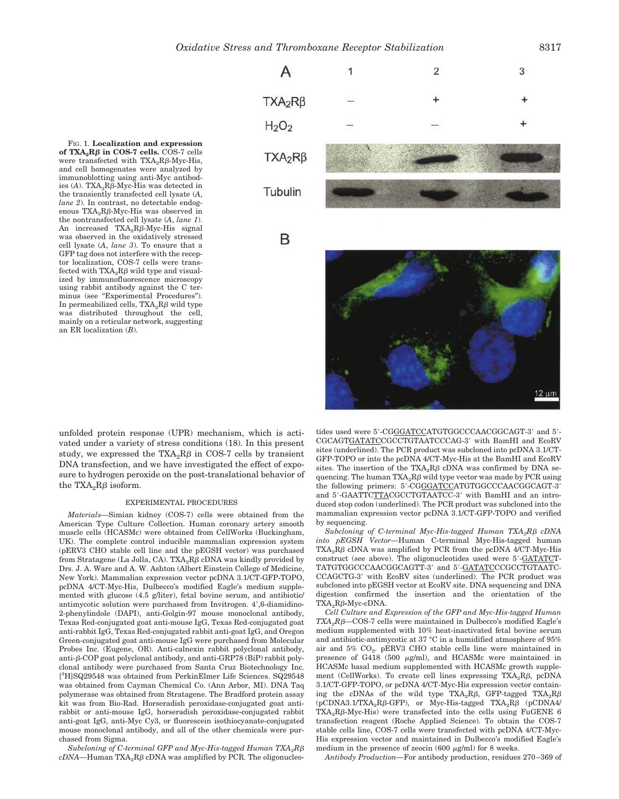FIG. 1. **Localization and expression**  $\textbf{of } \text{T} \textbf{X} \textbf{A}_2 \textbf{R} \boldsymbol{\beta}$  in COS-7 cells. COS-7 cells were transfected with  $\text{TXA}_2\text{R}\beta\text{-Myc-His},$ and cell homogenates were analyzed by immunoblotting using anti-Myc antibodies  $(A)$ . TXA<sub>2</sub>R $\beta$ -Myc-His was detected in the transiently transfected cell lysate (*A*, *lane 2*). In contrast, no detectable endogenous  $TXA_2R\beta$ -Myc-His was observed in the nontransfected cell lysate (*A*, *lane 1*). An increased  $TXA_2R\beta$ -Myc-His signal was observed in the oxidatively stressed cell lysate (*A*, *lane 3*). To ensure that a GFP tag does not interfere with the receptor localization, COS-7 cells were transfected with  $\text{TXA}_2\text{R}\beta$  wild type and visualized by immunofluorescence microscopy using rabbit antibody against the C terminus (see "Experimental Procedures"). In permeabilized cells,  $\text{TXA}_2\text{R}\beta$  wild type was distributed throughout the cell, mainly on a reticular network, suggesting an ER localization (*B*).



unfolded protein response (UPR) mechanism, which is activated under a variety of stress conditions (18). In this present study, we expressed the  $TXA_2R\beta$  in COS-7 cells by transient DNA transfection, and we have investigated the effect of exposure to hydrogen peroxide on the post-translational behavior of the TXA<sub>2</sub>R $\beta$  isoform.

#### EXPERIMENTAL PROCEDURES

*Materials—*Simian kidney (COS-7) cells were obtained from the American Type Culture Collection. Human coronary artery smooth muscle cells (HCASMc) were obtained from CellWorks (Buckingham, UK). The complete control inducible mammalian expression system (pERV3 CHO stable cell line and the pEGSH vector) was purchased from Stratagene (La Jolla, CA). TXA<sub>2</sub>R $\beta$  cDNA was kindly provided by Drs. J. A. Ware and A. W. Ashton (Albert Einstein College of Medicine, New York). Mammalian expression vector pcDNA 3.1/CT-GFP-TOPO, pcDNA 4/CT-Myc-His, Dulbecco's modified Eagle's medium supplemented with glucose (4.5 g/liter), fetal bovine serum, and antibiotic/ antimycotic solution were purchased from Invitrogen. 4',6-diamidino-2-phenylindole (DAPI), anti-Golgin-97 mouse monoclonal antibody, Texas Red-conjugated goat anti-mouse IgG, Texas Red-conjugated goat anti-rabbit IgG, Texas Red-conjugated rabbit anti-goat IgG, and Oregon Green-conjugated goat anti-mouse IgG were purchased from Molecular Probes Inc. (Eugene, OR). Anti-calnexin rabbit polyclonal antibody, anti- $\beta$ -COP goat polyclonal antibody, and anti-GRP78 (BiP) rabbit polyclonal antibody were purchased from Santa Cruz Biotechnology Inc. [ 3 H]SQ29548 was obtained from PerkinElmer Life Sciences. SQ29548 was obtained from Cayman Chemical Co. (Ann Arbor, MI). DNA Taq polymerase was obtained from Stratagene. The Bradford protein assay kit was from Bio-Rad. Horseradish peroxidase-conjugated goat antirabbit or anti-mouse IgG, horseradish peroxidase-conjugated rabbit anti-goat IgG, anti-Myc Cy3, or fluorescein isothiocyanate-conjugated mouse monoclonal antibody, and all of the other chemicals were purchased from Sigma.

 $\mathit Subcloning$  of  $\mathit{C-terminal}$  GFP and Myc-His-tagged Human  $\mathit{TXA}_{2}\mathit{R}\beta$  $\emph{cDNA}$ —Human TXA $_2$ R $\beta$  cDNA was amplified by PCR. The oligonucleotides used were  $5^\prime\text{-}\text{CGGATCC} \Delta \text{TGTGGCC} \text{CACGGCAG} \text{T-}3^\prime$  and  $5^\prime\text{-}$ CGCAGTGATATCCGCCTGTAATCCCAG-3' with BamHI and EcoRV sites (underlined). The PCR product was subcloned into pcDNA 3.1/CT-GFP-TOPO or into the pcDNA 4/CT-Myc-His at the BamHI and EcoRV sites. The insertion of the TXA<sub>2</sub>R $\beta$  cDNA was confirmed by DNA sequencing. The human  $\text{TXA}_2\text{R}\beta$  wild type vector was made by PCR using the following primers: 5-CGGGATCCATGTGGCCCAACGGCAGT-3 and 5'-GAATTCTTACGCCTGTAATCC-3' with BamHI and an introduced stop codon (underlined). The PCR product was subcloned into the mammalian expression vector pcDNA 3.1/CT-GFP-TOPO and verified by sequencing.

*Subcloning of C-terminal Myc-His-tagged Human TXA2R*- *cDNA into pEGSH Vector—*Human C-terminal Myc-His-tagged human  $\text{TXA}_2\text{R}\beta$  cDNA was amplified by PCR from the pcDNA 4/CT-Myc-His construct (see above). The oligonucleotides used were 5-GATATCT-TATGTGGCCCAACGGCAGTT-3' and 5'-GATATCCCGCCTGTAATC-CCAGCTG-3 with EcoRV sites (underlined). The PCR product was subcloned into pEGSH vector at EcoRV site. DNA sequencing and DNA digestion confirmed the insertion and the orientation of the TXA<sub>2</sub>Rβ-Myc-cDNA.

*Cell Culture and Expression of the GFP and Myc-His-tagged Human TXA<sub>2</sub>Rβ*—COS-7 cells were maintained in Dulbecco's modified Eagle's medium supplemented with 10% heat-inactivated fetal bovine serum and antibiotic-antimycotic at 37 °C in a humidified atmosphere of 95% air and 5% CO<sub>2</sub>. pERV3 CHO stable cells line were maintained in presence of G418 (500  $\mu$ g/ml), and HCASMc were maintained in HCASMc basal medium supplemented with HCASMc growth supplement (CellWorks). To create cell lines expressing  $TXA_2R\beta$ , pcDNA 3.1/CT-GFP-TOPO, or pcDNA 4/CT-Myc-His expression vector containing the cDNAs of the wild type  $TXA_2R\beta$ , GFP-tagged  $TXA_2R\beta$  $(pCDNA3.1/TXA<sub>2</sub>R\beta-GFP)$ , or Myc-His-tagged TXA<sub>2</sub>R $\beta$  (pCDNA4/  $\text{TXA}_2\text{R}\beta\text{-Myc-His}$  were transfected into the cells using  $\text{FuGENE }6$ transfection reagent (Roche Applied Science). To obtain the COS-7 stable cells line, COS-7 cells were transfected with pcDNA 4/CT-Myc-His expression vector and maintained in Dulbecco's modified Eagle's medium in the presence of zeocin (600  $\mu$ g/ml) for 8 weeks.

*Antibody Production—*For antibody production, residues 270–369 of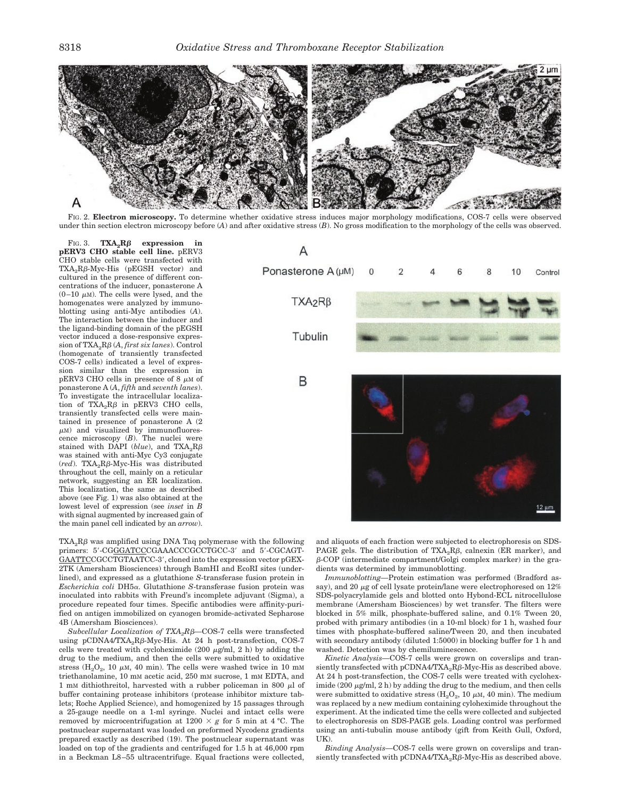

FIG. 2. **Electron microscopy.** To determine whether oxidative stress induces major morphology modifications, COS-7 cells were observed under thin section electron microscopy before (*A*) and after oxidative stress (*B*). No gross modification to the morphology of the cells was observed.

FIG. 3.  $TXA_2R\beta$  expression in **pERV3 CHO stable cell line.** pERV3 CHO stable cells were transfected with  $TXA_2R\beta$ -Myc-His (pEGSH vector) and cultured in the presence of different concentrations of the inducer, ponasterone A  $(0-10 \mu M)$ . The cells were lysed, and the homogenates were analyzed by immunoblotting using anti-Myc antibodies (*A*). The interaction between the inducer and the ligand-binding domain of the pEGSH vector induced a dose-responsive expression of TXA<sub>2</sub>Rβ (*A, first six lanes*). Control (homogenate of transiently transfected COS-7 cells) indicated a level of expression similar than the expression in pERV3 CHO cells in presence of 8  $\mu$ M of ponasterone A (*A*, *fifth* and *seventh lanes*). To investigate the intracellular localization of  $TXA_2R\beta$  in pERV3 CHO cells, transiently transfected cells were maintained in presence of ponasterone A (2  $\mu$ M) and visualized by immunofluorescence microscopy (*B*). The nuclei were stained with DAPI ( $blue$ ), and TXA<sub>2</sub>R $β$ was stained with anti-Myc Cy3 conjugate  $(\text{red})$ . TXA<sub>2</sub>R $\beta$ -Myc-His was distributed throughout the cell, mainly on a reticular network, suggesting an ER localization. This localization, the same as described above (see Fig. 1) was also obtained at the lowest level of expression (see *inset* in *B* with signal augmented by increased gain of the main panel cell indicated by an *arrow*).



TXA2R $\beta$  was amplified using DNA Taq polymerase with the following primers: 5'-CGGGATCCCGAAACCCGCCTGCC-3' and 5'-CGCAGT-GAATTCCGCCTGTAATCC-3', cloned into the expression vector pGEX-2TK (Amersham Biosciences) through BamHI and EcoRI sites (underlined), and expressed as a glutathione *S*-transferase fusion protein in *Escherichia coli* DH5. Glutathione *S*-transferase fusion protein was inoculated into rabbits with Freund's incomplete adjuvant (Sigma), a procedure repeated four times. Specific antibodies were affinity-purified on antigen immobilized on cyanogen bromide-activated Sepharose 4B (Amersham Biosciences).

 $\emph{Subcellular Localization of TXA}_{2}R\beta$ —COS-7 cells were transfected using pCDNA4/TXA<sub>2</sub>R $\beta$ -Myc-His. At 24 h post-transfection, COS-7 cells were treated with cycloheximide (200  $\mu$ g/ml, 2 h) by adding the drug to the medium, and then the cells were submitted to oxidative stress  $(H_2O_2, 10 \mu M, 40 \text{ min})$ . The cells were washed twice in 10 mM triethanolamine, 10 mM acetic acid, 250 mM sucrose, 1 mM EDTA, and 1 mM dithiothreitol, harvested with a rubber policeman in 800  $\mu$ l of buffer containing protease inhibitors (protease inhibitor mixture tablets; Roche Applied Science), and homogenized by 15 passages through a 25-gauge needle on a 1-ml syringe. Nuclei and intact cells were removed by microcentrifugation at  $1200 \times g$  for 5 min at 4 °C. The postnuclear supernatant was loaded on preformed Nycodenz gradients prepared exactly as described (19). The postnuclear supernatant was loaded on top of the gradients and centrifuged for 1.5 h at 46,000 rpm in a Beckman L8–55 ultracentrifuge. Equal fractions were collected, and aliquots of each fraction were subjected to electrophoresis on SDS-PAGE gels. The distribution of  $\text{TXA}_2\text{R}\beta$ , calnexin (ER marker), and  $\beta$ -COP (intermediate compartment/Golgi complex marker) in the gradients was determined by immunoblotting.

*Immunoblotting—*Protein estimation was performed (Bradford assay), and 20  $\mu$ g of cell lysate protein/lane were electrophoresed on 12% SDS-polyacrylamide gels and blotted onto Hybond-ECL nitrocellulose membrane (Amersham Biosciences) by wet transfer. The filters were blocked in 5% milk, phosphate-buffered saline, and 0.1% Tween 20, probed with primary antibodies (in a 10-ml block) for 1 h, washed four times with phosphate-buffered saline/Tween 20, and then incubated with secondary antibody (diluted 1:5000) in blocking buffer for 1 h and washed. Detection was by chemiluminescence.

*Kinetic Analysis—*COS-7 cells were grown on coverslips and transiently transfected with pCDNA4/TXA<sub>2</sub>R $\beta$ -Myc-His as described above. At 24 h post-transfection, the COS-7 cells were treated with cycloheximide (200  $\mu$ g/ml, 2 h) by adding the drug to the medium, and then cells were submitted to oxidative stress  $(H_2O_2, 10 \mu M, 40 \text{ min})$ . The medium was replaced by a new medium containing cyloheximide throughout the experiment. At the indicated time the cells were collected and subjected to electrophoresis on SDS-PAGE gels. Loading control was performed using an anti-tubulin mouse antibody (gift from Keith Gull, Oxford,  $I(K)$ 

*Binding Analysis—*COS-7 cells were grown on coverslips and transiently transfected with pCDNA4/TXA<sub>2</sub>R $\beta$ -Myc-His as described above.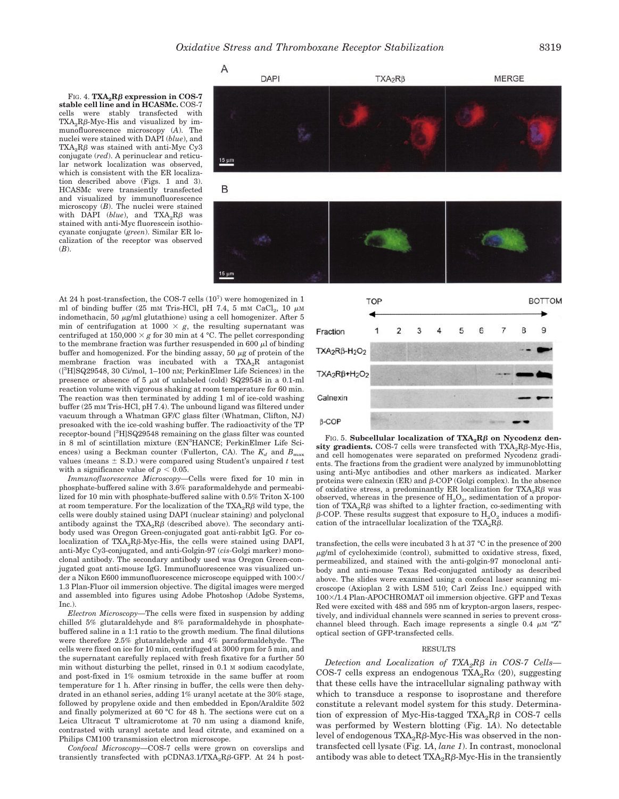FIG. 4.  $\mathbf{T} \mathbf{X} \mathbf{A}_2 \mathbf{R} \boldsymbol{\beta}$  expression in COS-7 **stable cell line and in HCASMc.** COS-7 cells were stably transfected with  $TXA_2R\beta$ -Myc-His and visualized by immunofluorescence microscopy (*A*). The nuclei were stained with DAPI (*blue*), and  $\text{TXA}_2\text{R}\beta$  was stained with anti-Myc Cy3 conjugate (*red*). A perinuclear and reticular network localization was observed, which is consistent with the ER localization described above (Figs. 1 and 3). HCASMc were transiently transfected and visualized by immunofluorescence microscopy (*B*). The nuclei were stained with DAPI ( $blue$ ), and  $TXA_2R\beta$  was stained with anti-Myc fluorescein isothiocyanate conjugate (*green*). Similar ER localization of the receptor was observed (*B*).



At 24 h post-transfection, the COS-7 cells (10<sup>7</sup>) were homogenized in 1 ml of binding buffer (25 mM Tris-HCl, pH 7.4, 5 mM CaCl<sub>2</sub>, 10  $\mu$ M indomethacin, 50  $\mu$ g/ml glutathione) using a cell homogenizer. After 5 min of centrifugation at  $1000 \times g$ , the resulting supernatant was centrifuged at  $150,000 \times g$  for 30 min at 4 °C. The pellet corresponding to the membrane fraction was further resuspended in 600  $\mu$ l of binding buffer and homogenized. For the binding assay, 50  $\mu$ g of protein of the membrane fraction was incubated with a TXA<sub>2</sub>R antagonist ([3 H]SQ29548, 30 Ci/mol, 1–100 nM; PerkinElmer Life Sciences) in the presence or absence of 5  $\mu$ M of unlabeled (cold) SQ29548 in a 0.1-ml reaction volume with vigorous shaking at room temperature for 60 min. The reaction was then terminated by adding 1 ml of ice-cold washing buffer (25 mM Tris-HCl, pH 7.4). The unbound ligand was filtered under vacuum through a Whatman GF/C glass filter (Whatman, Clifton, NJ) presoaked with the ice-cold washing buffer. The radioactivity of the TP receptor-bound [<sup>3</sup>H]SQ29548 remaining on the glass filter was counted in 8 ml of scintillation mixture (EN<sup>3</sup> HANCE; PerkinElmer Life Sciences) using a Beckman counter (Fullerton, CA). The  $K_d$  and  $B_{\text{max}}$ values (means  $\pm$  S.D.) were compared using Student's unpaired t test with a significance value of  $p < 0.05$ .

 $15 \mu m$ 

*Immunofluorescence Microscopy—*Cells were fixed for 10 min in phosphate-buffered saline with 3.6% paraformaldehyde and permeabilized for 10 min with phosphate-buffered saline with 0.5% Triton X-100 at room temperature. For the localization of the  $\text{TXA}_2\text{R}\beta$  wild type, the cells were doubly stained using DAPI (nuclear staining) and polyclonal antibody against the  $TXA_2R\beta$  (described above). The secondary antibody used was Oregon Green-conjugated goat anti-rabbit IgG. For colocalization of  $TXA_2R\beta\text{-Myc-His},$  the cells were stained using DAPI, anti-Myc Cy3-conjugated, and anti-Golgin-97 (*cis-*Golgi marker) monoclonal antibody. The secondary antibody used was Oregon Green-conjugated goat anti-mouse IgG. Immunofluorescence was visualized under a Nikon E600 immunofluorescence microscope equipped with  $100\times$ / 1.3 Plan-Fluor oil immersion objective. The digital images were merged and assembled into figures using Adobe Photoshop (Adobe Systems, Inc.).

*Electron Microscopy—*The cells were fixed in suspension by adding chilled 5% glutaraldehyde and 8% paraformaldehyde in phosphatebuffered saline in a 1:1 ratio to the growth medium. The final dilutions were therefore 2.5% glutaraldehyde and 4% paraformaldehyde. The cells were fixed on ice for 10 min, centrifuged at 3000 rpm for 5 min, and the supernatant carefully replaced with fresh fixative for a further 50 min without disturbing the pellet, rinsed in 0.1 M sodium cacodylate, and post-fixed in 1% osmium tetroxide in the same buffer at room temperature for 1 h. After rinsing in buffer, the cells were then dehydrated in an ethanol series, adding 1% uranyl acetate at the 30% stage, followed by propylene oxide and then embedded in Epon/Araldite 502 and finally polymerized at 60 °C for 48 h. The sections were cut on a Leica Ultracut T ultramicrotome at 70 nm using a diamond knife, contrasted with uranyl acetate and lead citrate, and examined on a Philips CM100 transmission electron microscope.

*Confocal Microscopy—*COS-7 cells were grown on coverslips and transiently transfected with  $pCDNA3.1/TXA_2R\beta$ -GFP. At 24 h post-



**F**IG. 5. Subcellular localization of TXA<sub>2</sub>Rβ on Nycodenz den- $\boldsymbol{\mathrm{sity}}$  gradients. COS-7 cells were transfected with TXA<sub>2</sub>R $\beta$ -Myc-His, and cell homogenates were separated on preformed Nycodenz gradients. The fractions from the gradient were analyzed by immunoblotting using anti-Myc antibodies and other markers as indicated. Marker proteins were calnexin  $(ER)$  and  $\beta$ -COP (Golgi complex). In the absence of oxidative stress, a predominantly ER localization for  $\text{T} \text{XA}_2 \text{R} \beta$  was observed, whereas in the presence of  $H_2O_2$ , sedimentation of a proportion of  $TXA_2R\beta$  was shifted to a lighter fraction, co-sedimenting with  $\beta$ -COP. These results suggest that exposure to  $\rm H_2O_2$  induces a modification of the intracellular localization of the TXA<sub>2</sub>R $\beta$ .

transfection, the cells were incubated 3 h at 37 °C in the presence of 200  $\mu$ g/ml of cycloheximide (control), submitted to oxidative stress, fixed, permeabilized, and stained with the anti-golgin-97 monoclonal antibody and anti-mouse Texas Red-conjugated antibody as described above. The slides were examined using a confocal laser scanning microscope (Axioplan 2 with LSM 510; Carl Zeiss Inc.) equipped with 100-/1.4 Plan-APOCHROMAT oil immersion objective. GFP and Texas Red were excited with 488 and 595 nm of krypton-argon lasers, respectively, and individual channels were scanned in series to prevent crosschannel bleed through. Each image represents a single 0.4  $\mu$ M "Z" optical section of GFP-transfected cells.

### RESULTS

*Detection and Localization of TXA2R*- *in COS-7 Cells—* COS-7 cells express an endogenous  $TXA_2R\alpha$  (20), suggesting that these cells have the intracellular signaling pathway with which to transduce a response to isoprostane and therefore constitute a relevant model system for this study. Determination of expression of Myc-His-tagged  $TXA_2R\beta$  in COS-7 cells was performed by Western blotting (Fig. 1*A*). No detectable level of endogenous TXA<sub>2</sub>R $\beta$ -Myc-His was observed in the nontransfected cell lysate (Fig. 1*A*, *lane 1*). In contrast, monoclonal antibody was able to detect  $\text{TXA}_2\text{R}\beta\text{-Myc-His}$  in the transiently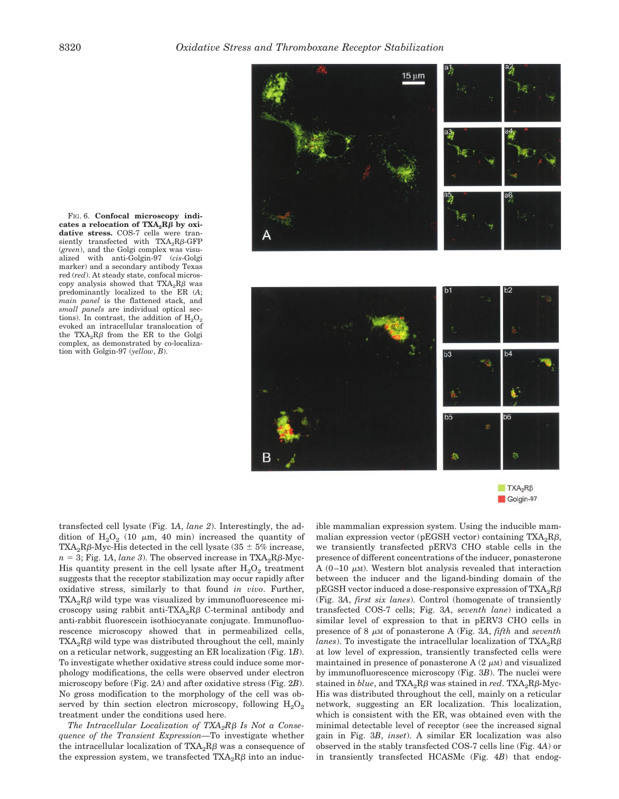

 $TXA_2R\beta$ Golgin-97

 $\text{cases} \text{ a relocation of } \text{T} \text{XA}_2 \text{R} \beta \text{ by } \text{oxi-}$ **dative stress.** COS-7 cells were transiently transfected with  $TXA_2R\beta$ -GFP (*green*), and the Golgi complex was visualized with anti-Golgin-97 (*cis*-Golgi marker) and a secondary antibody Texas red (*red*). At steady state, confocal microscopy analysis showed that  $TXA_2R\beta$  was predominantly localized to the ER (*A*; *main panel* is the flattened stack, and *small panels* are individual optical sections). In contrast, the addition of  $H_2O_2$ evoked an intracellular translocation of the  $TXA_2R\beta$  from the ER to the Golgi complex, as demonstrated by co-localization with Golgin-97 (*yellow*, *B*).

FIG. 6. **Confocal microscopy indi-**

transfected cell lysate (Fig. 1*A*, *lane 2*). Interestingly, the addition of  $H_2O_2$  (10  $\mu$ m, 40 min) increased the quantity of TXA<sub>2</sub>R $\beta$ -Myc-His detected in the cell lysate (35  $\pm$  5% increase,  $n = 3$ ; Fig. 1*A*, *lane* 3). The observed increase in  $TXA_2R\beta$ -Myc-His quantity present in the cell lysate after  $H_2O_2$  treatment suggests that the receptor stabilization may occur rapidly after oxidative stress, similarly to that found *in vivo*. Further,  $\text{T} \text{X} \text{A}_2 \text{R} \beta$  wild type was visualized by immunofluorescence microscopy using rabbit anti-TXA<sub>2</sub>R $\beta$  C-terminal antibody and anti-rabbit fluorescein isothiocyanate conjugate. Immunofluorescence microscopy showed that in permeabilized cells,  $\text{T} \text{X} \text{A}_2 \text{R} \beta$  wild type was distributed throughout the cell, mainly on a reticular network, suggesting an ER localization (Fig. 1*B*). To investigate whether oxidative stress could induce some morphology modifications, the cells were observed under electron microscopy before (Fig. 2*A*) and after oxidative stress (Fig. 2*B*). No gross modification to the morphology of the cell was observed by thin section electron microscopy, following  $H_2O_2$ treatment under the conditions used here.

*The Intracellular Localization of TXA2R*- *Is Not a Consequence of the Transient Expression—*To investigate whether the intracellular localization of  $\text{TXA}_2\text{R}\beta$  was a consequence of the expression system, we transfected  $\text{T} \text{XA}_2 \text{R} \beta$  into an inducible mammalian expression system. Using the inducible mammalian expression vector (pEGSH vector) containing TXA<sub>2</sub>R $\beta$ , we transiently transfected pERV3 CHO stable cells in the presence of different concentrations of the inducer, ponasterone A (0–10  $\mu$ M). Western blot analysis revealed that interaction between the inducer and the ligand-binding domain of the pEGSH vector induced a dose-responsive expression of  $\text{TXA}_2\text{R}\beta$ (Fig. 3*A*, *first six lanes*). Control (homogenate of transiently transfected COS-7 cells; Fig. 3*A*, *seventh lane*) indicated a similar level of expression to that in pERV3 CHO cells in presence of 8  $\mu$ M of ponasterone A (Fig. 3A, *fifth* and *seventh lanes*). To investigate the intracellular localization of  $\text{TXA}_2\text{R}\beta$ at low level of expression, transiently transfected cells were maintained in presence of ponasterone A  $(2 \mu M)$  and visualized by immunofluorescence microscopy (Fig. 3*B*). The nuclei were  $\operatorname{stained}$  in  $\mathit{blue}, \operatorname{and} \operatorname{TXA_2R\beta}$  was  $\operatorname{stained}$  in  $\mathit{red}.$   $\operatorname{TXA_2R\beta\text{-}Myc-}$ His was distributed throughout the cell, mainly on a reticular network, suggesting an ER localization. This localization, which is consistent with the ER, was obtained even with the minimal detectable level of receptor (see the increased signal gain in Fig. 3*B*, *inset*). A similar ER localization was also observed in the stably transfected COS-7 cells line (Fig. 4*A*) or in transiently transfected HCASMc (Fig. 4*B*) that endog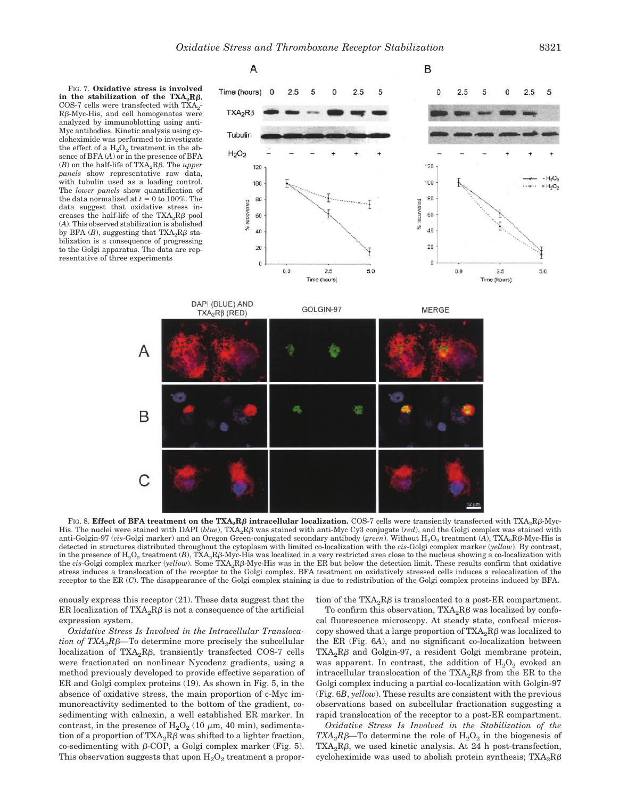A



A

B

С



F1G. 8.  $\bf{Effect of BFA treatment on the TXA_{2}R}\beta intracellular localization. \bf{COS-7}$  cells were transiently transfected with  $\rm{TXA_{2}R}\beta\text{-}Myc-$ His. The nuclei were stained with DAPI (blue), TXA<sub>2</sub>Rβ was stained with anti-Myc Cy3 conjugate (*red*), and the Golgi complex was stained with anti-Golgin-97 (*cis-*Golgi marker) and an Oregon Green-conjugated secondary antibody (*green*). Without H<sub>2</sub>O<sub>2</sub> treatment (A), TXA<sub>2</sub>Rβ-Myc-His is detected in structures distributed throughout the cytoplasm with limited co-localization with the *cis*-Golgi complex marker (*yellow*). By contrast, in the presence of  $\rm H_2O_2$  treatment (*B*), TXA<sub>2</sub>Rβ-Myc-His was localized in a very restricted area close to the nucleus showing a co-localization with the *cis*-Golgi complex marker (*yellow*). Some TXA<sub>2</sub>RB-Myc-His was in the ER but below the detection limit. These results confirm that oxidative stress induces a translocation of the receptor to the Golgi complex. BFA treatment on oxidatively stressed cells induces a relocalization of the receptor to the ER (*C*). The disappearance of the Golgi complex staining is due to redistribution of the Golgi complex proteins induced by BFA.

enously express this receptor (21). These data suggest that the ER localization of  $\text{TXA}_2\text{R}\beta$  is not a consequence of the artificial expression system.

*Oxidative Stress Is Involved in the Intracellular Transloca-* $\iota$ *ion of TXA<sub>2</sub>Rβ*—To determine more precisely the subcellular localization of TXA<sub>2</sub>R $\beta$ , transiently transfected COS-7 cells were fractionated on nonlinear Nycodenz gradients, using a method previously developed to provide effective separation of ER and Golgi complex proteins (19). As shown in Fig. 5, in the absence of oxidative stress, the main proportion of c-Myc immunoreactivity sedimented to the bottom of the gradient, cosedimenting with calnexin, a well established ER marker. In contrast, in the presence of  $H_2O_2$  (10  $\mu$ m, 40 min), sedimentation of a proportion of TXA<sub>2</sub>R $\beta$  was shifted to a lighter fraction, co-sedimenting with  $\beta$ -COP, a Golgi complex marker (Fig. 5). This observation suggests that upon  $H_2O_2$  treatment a proportion of the  $\text{T} \text{XA}_2 \text{R} \beta$  is translocated to a post-ER compartment.

To confirm this observation,  $TXA_2R\beta$  was localized by confocal fluorescence microscopy. At steady state, confocal microscopy showed that a large proportion of  $\text{TXA}_2\text{R}\beta$  was localized to the ER (Fig. 6*A*), and no significant co-localization between  $\text{TXA}_2\text{R}\beta$  and Golgin-97, a resident Golgi membrane protein, was apparent. In contrast, the addition of  $H_2O_2$  evoked an intracellular translocation of the  $\text{TXA}_2\text{R}\beta$  from the ER to the Golgi complex inducing a partial co-localization with Golgin-97 (Fig. 6*B*, *yellow*). These results are consistent with the previous observations based on subcellular fractionation suggesting a rapid translocation of the receptor to a post-ER compartment.

*Oxidative Stress Is Involved in the Stabilization of the*  $TXA_2R\beta$ —To determine the role of  $H_2O_2$  in the biogenesis of TXA<sub>2</sub>R $\beta$ , we used kinetic analysis. At 24 h post-transfection, cycloheximide was used to abolish protein synthesis;  $TXA_2R\beta$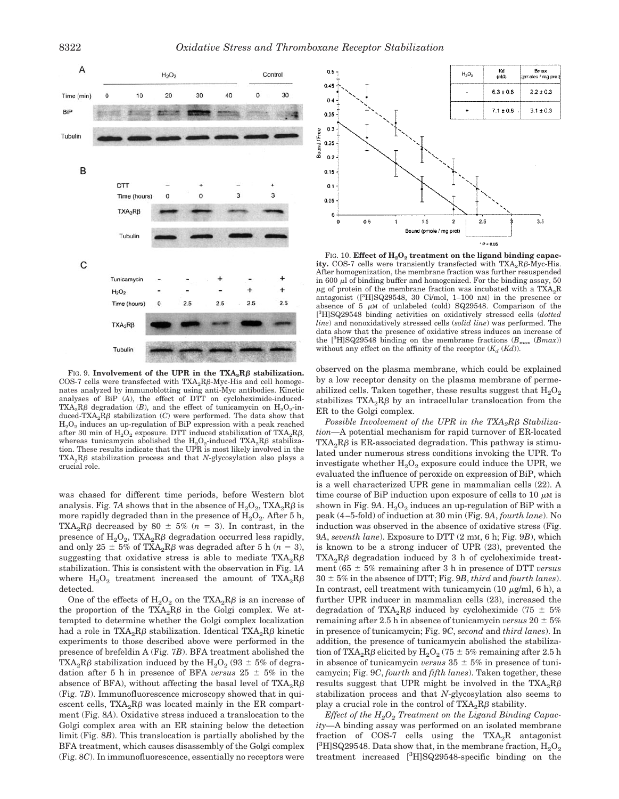

FIG. 9. **Involvement of the UPR in the**  $TXA_2R\beta$  **stabilization.** COS-7 cells were transfected with  $TXA_2R\beta$ -Myc-His and cell homogenates analyzed by immunoblotting using anti-Myc antibodies. Kinetic analyses of BiP (*A*), the effect of DTT on cycloheximide-induced-TXA<sub>2</sub>R $\beta$  degradation (*B*), and the effect of tunicamycin on  $\text{H}_{2}\text{O}_{2}$ -induced-TXA<sub>2</sub>R $\beta$  stabilization (*C*) were performed. The data show that  $H<sub>2</sub>O<sub>2</sub>$  induces an up-regulation of BiP expression with a peak reached after 30 min of  $\rm H_2O_2$  exposure. DTT induced stabilization of TXA<sub>2</sub>R $\beta$ , whereas tunicamycin abolished the  $H_2O_2$ -induced TXA<sub>2</sub>R $\beta$  stabilization. These results indicate that the UPR is most likely involved in the  $TXA_2R\beta$  stabilization process and that *N*-glycosylation also plays a crucial role.

was chased for different time periods, before Western blot analysis. Fig. 7A shows that in the absence of  $\rm H_2O_2$ ,  $\rm TXA_2R\beta$  is more rapidly degraded than in the presence of  $H_2O_2$ . After 5 h, TXA<sub>2</sub>R $\beta$  decreased by 80  $\pm$  5% (*n* = 3). In contrast, in the presence of  $\text{H}_{2}\text{O}_{2}$ , TXA<sub>2</sub>R $\beta$  degradation occurred less rapidly, and only  $25 \pm 5\%$  of TXA<sub>2</sub>R $\beta$  was degraded after 5 h ( $n = 3$ ), suggesting that oxidative stress is able to mediate  $TXA_2R\beta$ stabilization. This is consistent with the observation in Fig. 1*A* where  $\text{H}_{2}\text{O}_{2}$  treatment increased the amount of  $\text{TXA}_{2}\text{R}\beta$ detected.

One of the effects of  $H_2O_2$  on the TXA<sub>2</sub>R $\beta$  is an increase of the proportion of the  $TXA_2R\beta$  in the Golgi complex. We attempted to determine whether the Golgi complex localization had a role in  $\text{TXA}_2\text{R}\beta$  stabilization. Identical  $\text{TXA}_2\text{R}\beta$  kinetic experiments to those described above were performed in the presence of brefeldin A (Fig. 7*B*). BFA treatment abolished the TXA<sub>2</sub>R $\beta$  stabilization induced by the H<sub>2</sub>O<sub>2</sub> (93  $\pm$  5% of degradation after 5 h in presence of BFA *versus*  $25 \pm 5\%$  in the absence of BFA), without affecting the basal level of  $\text{TXA}_2\text{R}\beta$ (Fig. 7*B*). Immunofluorescence microscopy showed that in quiescent cells,  $TXA_2R\beta$  was located mainly in the ER compartment (Fig. 8*A*). Oxidative stress induced a translocation to the Golgi complex area with an ER staining below the detection limit (Fig. 8*B*). This translocation is partially abolished by the BFA treatment, which causes disassembly of the Golgi complex (Fig. 8*C*). In immunofluorescence, essentially no receptors were



FIG. 10. **Effect of H<sub>2</sub>O<sub>2</sub> treatment on the ligand binding capacity.** COS-7 cells were transiently transfected with  $TXA_2R\beta$ -Myc-His. After homogenization, the membrane fraction was further resuspended in 600  $\mu$ l of binding buffer and homogenized. For the binding assay, 50  $\mu$ g of protein of the membrane fraction was incubated with a TXA<sub>2</sub>R antagonist ([<sup>3</sup> H]SQ29548, 30 Ci/mol, 1–100 nM) in the presence or absence of 5  $\mu$ M of unlabeled (cold) SQ29548. Comparison of the [ 3 H]SQ29548 binding activities on oxidatively stressed cells (*dotted line*) and nonoxidatively stressed cells (*solid line*) was performed. The data show that the presence of oxidative stress induces an increase of the  $[^{3}H]$ SQ29548 binding on the membrane fractions  $(B_{\text{max}} (B_{\text{max}}))$ without any effect on the affinity of the receptor  $(K_d (K_d))$ .

observed on the plasma membrane, which could be explained by a low receptor density on the plasma membrane of permeabilized cells. Taken together, these results suggest that  $H_2O_2$ stabilizes  $TXA_2R\beta$  by an intracellular translocation from the ER to the Golgi complex.

*Possible Involvement of the UPR in the TXA<sub>2</sub>Rβ Stabilization—*A potential mechanism for rapid turnover of ER-located  $\text{T} \text{X} \text{A}_2 \text{R} \beta$  is ER-associated degradation. This pathway is stimulated under numerous stress conditions invoking the UPR. To investigate whether  $H_2O_2$  exposure could induce the UPR, we evaluated the influence of peroxide on expression of BiP, which is a well characterized UPR gene in mammalian cells (22). A time course of BiP induction upon exposure of cells to 10  $\mu$ M is shown in Fig.  $9A. H<sub>2</sub>O<sub>2</sub>$  induces an up-regulation of BiP with a peak (4–5-fold) of induction at 30 min (Fig. 9*A*, *fourth lane*). No induction was observed in the absence of oxidative stress (Fig. 9*A*, *seventh lane*). Exposure to DTT (2 mM, 6 h; Fig. 9*B*), which is known to be a strong inducer of UPR (23), prevented the  $\text{T} \text{X} \text{A}_2 \text{R} \beta$  degradation induced by 3 h of cycloheximide treatment  $(65 \pm 5\%$  remaining after 3 h in presence of DTT *versus*  $30 \pm 5\%$  in the absence of DTT; Fig. 9*B*, *third* and *fourth lanes*). In contrast, cell treatment with tunicamycin (10  $\mu$ g/ml, 6 h), a further UPR inducer in mammalian cells (23), increased the degradation of TXA<sub>2</sub>R $\beta$  induced by cycloheximide (75  $\pm$  5%) remaining after 2.5 h in absence of tunicamycin *versus*  $20 \pm 5\%$ in presence of tunicamycin; Fig. 9*C*, *second* and *third lanes*). In addition, the presence of tunicamycin abolished the stabilization of TXA<sub>2</sub>R $\beta$  elicited by H<sub>2</sub>O<sub>2</sub> (75  $\pm$  5% remaining after 2.5 h in absence of tunicamycin *versus*  $35 \pm 5\%$  in presence of tunicamycin; Fig. 9*C*, *fourth* and *fifth lanes*). Taken together, these results suggest that UPR might be involved in the  $TXA_2R\beta$ stabilization process and that *N*-glycosylation also seems to play a crucial role in the control of  $\text{TXA}_2\text{R}\beta$  stability.

*Effect of the H2O2 Treatment on the Ligand Binding Capacity—*A binding assay was performed on an isolated membrane fraction of COS-7 cells using the  $TXA_2R$  antagonist  $\rm [^3H]SQ29548.$  Data show that, in the membrane fraction,  $\rm H_2O_2$ treatment increased [3 H]SQ29548-specific binding on the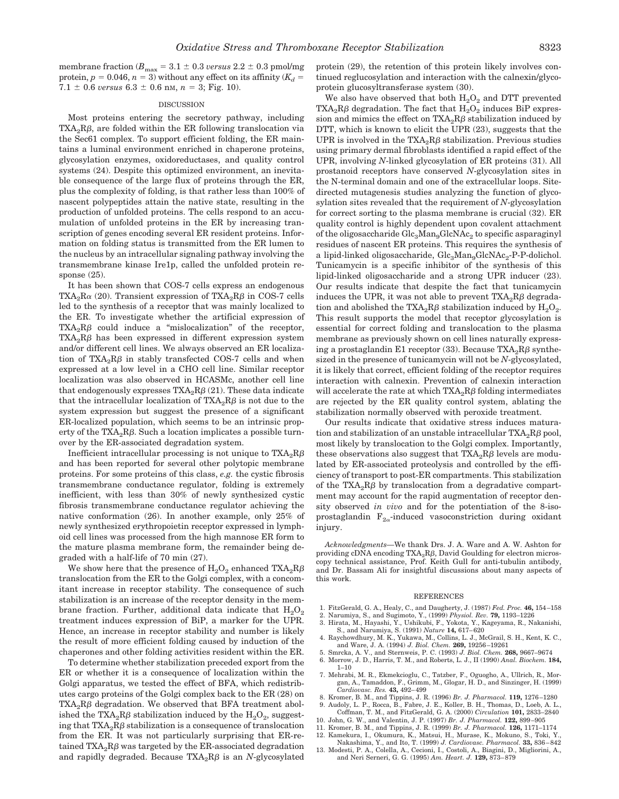membrane fraction ( $B_{\text{max}} = 3.1 \pm 0.3$  *versus* 2.2  $\pm$  0.3 pmol/mg protein,  $p = 0.046$ ,  $n = 3$ ) without any effect on its affinity ( $K_d$ )  $7.1 \pm 0.6$  *versus*  $6.3 \pm 0.6$  nm,  $n = 3$ ; Fig. 10).

## **DISCUSSION**

Most proteins entering the secretory pathway, including TXA<sub>2</sub>R $\beta$ , are folded within the ER following translocation via the Sec61 complex. To support efficient folding, the ER maintains a luminal environment enriched in chaperone proteins, glycosylation enzymes, oxidoreductases, and quality control systems (24). Despite this optimized environment, an inevitable consequence of the large flux of proteins through the ER, plus the complexity of folding, is that rather less than 100% of nascent polypeptides attain the native state, resulting in the production of unfolded proteins. The cells respond to an accumulation of unfolded proteins in the ER by increasing transcription of genes encoding several ER resident proteins. Information on folding status is transmitted from the ER lumen to the nucleus by an intracellular signaling pathway involving the transmembrane kinase Ire1p, called the unfolded protein response  $(25)$ .

It has been shown that COS-7 cells express an endogenous TXA<sub>2</sub>R $\alpha$  (20). Transient expression of TXA<sub>2</sub>R $\beta$  in COS-7 cells led to the synthesis of a receptor that was mainly localized to the ER. To investigate whether the artificial expression of  $TXA_2R\beta$  could induce a "mislocalization" of the receptor,  $\text{T} \text{X} \text{A}_2 \text{R} \beta$  has been expressed in different expression system and/or different cell lines. We always observed an ER localization of  $\text{T} \text{XA}_2 \text{R} \beta$  in stably transfected COS-7 cells and when expressed at a low level in a CHO cell line. Similar receptor localization was also observed in HCASMc, another cell line that endogenously expresses  $\text{TXA}_2\text{R}\beta$  (21). These data indicate that the intracellular localization of  $\text{TXA}_2\text{R}\beta$  is not due to the system expression but suggest the presence of a significant ER-localized population, which seems to be an intrinsic property of the  $\text{T} \text{XA}_2 \text{R} \beta$ . Such a location implicates a possible turnover by the ER-associated degradation system.

Inefficient intracellular processing is not unique to  $\text{TXA}_2\text{R}\beta$ and has been reported for several other polytopic membrane proteins. For some proteins of this class, *e.g.* the cystic fibrosis transmembrane conductance regulator, folding is extremely inefficient, with less than 30% of newly synthesized cystic fibrosis transmembrane conductance regulator achieving the native conformation (26). In another example, only 25% of newly synthesized erythropoietin receptor expressed in lymphoid cell lines was processed from the high mannose ER form to the mature plasma membrane form, the remainder being degraded with a half-life of 70 min (27).

We show here that the presence of  $\text{H}_{2}\text{O}_{2}$  enhanced  $\text{T} \text{XA}_{2}\text{R} \beta$ translocation from the ER to the Golgi complex, with a concomitant increase in receptor stability. The consequence of such stabilization is an increase of the receptor density in the membrane fraction. Further, additional data indicate that  $H_2O_2$ treatment induces expression of BiP, a marker for the UPR. Hence, an increase in receptor stability and number is likely the result of more efficient folding caused by induction of the chaperones and other folding activities resident within the ER.

To determine whether stabilization preceded export from the ER or whether it is a consequence of localization within the Golgi apparatus, we tested the effect of BFA, which redistributes cargo proteins of the Golgi complex back to the ER (28) on  $\text{TXA}_2\text{R}\beta$  degradation. We observed that BFA treatment abolished the TXA<sub>2</sub>R $\beta$  stabilization induced by the  $\rm H_2O_2$ , suggesting that  $\text{TXA}_2\text{R}\beta$  stabilization is a consequence of translocation from the ER. It was not particularly surprising that ER-retained  $\text{T} \text{X} \text{A}_2 \text{R} \beta$  was targeted by the ER-associated degradation and rapidly degraded. Because  $\text{T} \text{XA}_2 \text{R} \beta$  is an *N*-glycosylated

protein (29), the retention of this protein likely involves continued reglucosylation and interaction with the calnexin/glycoprotein glucosyltransferase system (30).

We also have observed that both  $H_2O_2$  and DTT prevented TXA<sub>2</sub>R $\beta$  degradation. The fact that  $\rm H_2O_2$  induces BiP expression and mimics the effect on  $\text{T} \text{X} \text{A}_2 \text{R} \beta$  stabilization induced by DTT, which is known to elicit the UPR (23), suggests that the UPR is involved in the  $\text{TXA}_2\text{R}\beta$  stabilization. Previous studies using primary dermal fibroblasts identified a rapid effect of the UPR, involving *N*-linked glycosylation of ER proteins (31). All prostanoid receptors have conserved *N*-glycosylation sites in the N-terminal domain and one of the extracellular loops. Sitedirected mutagenesis studies analyzing the function of glycosylation sites revealed that the requirement of *N*-glycosylation for correct sorting to the plasma membrane is crucial (32). ER quality control is highly dependent upon covalent attachment of the oligosaccharide  $Glc<sub>3</sub>Man<sub>9</sub>GlcNAc<sub>2</sub>$  to specific asparaginyl residues of nascent ER proteins. This requires the synthesis of a lipid-linked oligosaccharide,  $Glc<sub>3</sub>Man<sub>9</sub>GlcNAc<sub>2</sub>-P-P-dolichol.$ Tunicamycin is a specific inhibitor of the synthesis of this lipid-linked oligosaccharide and a strong UPR inducer (23). Our results indicate that despite the fact that tunicamycin induces the UPR, it was not able to prevent  $\text{T} \text{X} \text{A}_2 \text{R} \beta$  degradation and abolished the TXA<sub>2</sub>R $\beta$  stabilization induced by H<sub>2</sub>O<sub>2</sub>. This result supports the model that receptor glycosylation is essential for correct folding and translocation to the plasma membrane as previously shown on cell lines naturally expressing a prostaglandin E1 receptor (33). Because  $\text{T} \text{X} \text{A}_2 \text{R} \beta$  synthesized in the presence of tunicamycin will not be *N*-glycosylated, it is likely that correct, efficient folding of the receptor requires interaction with calnexin. Prevention of calnexin interaction will accelerate the rate at which  $\text{TXA}_2\text{R}\beta$  folding intermediates are rejected by the ER quality control system, ablating the stabilization normally observed with peroxide treatment.

Our results indicate that oxidative stress induces maturation and stabilization of an unstable intracellular  $\text{TXA}_2\text{R}\beta$  pool, most likely by translocation to the Golgi complex. Importantly, these observations also suggest that  $\text{TXA}_2\text{R}\beta$  levels are modulated by ER-associated proteolysis and controlled by the efficiency of transport to post-ER compartments. This stabilization of the  $\text{T} \text{X} \text{A}_2 \text{R} \beta$  by translocation from a degradative compartment may account for the rapid augmentation of receptor density observed *in vivo* and for the potentiation of the 8-isoprostaglandin  $F_{2\alpha}$ -induced vasoconstriction during oxidant injury.

*Acknowledgments—*We thank Drs. J. A. Ware and A. W. Ashton for providing cDNA encoding TXA<sub>2</sub>R $\beta$ , David Goulding for electron microscopy technical assistance, Prof. Keith Gull for anti-tubulin antibody, and Dr. Bassam Ali for insightful discussions about many aspects of this work.

#### REFERENCES

- 1. FitzGerald, G. A., Healy, C., and Daugherty, J. (1987) *Fed. Proc.* **46,** 154–158
- 2. Narumiya, S., and Sugimoto, Y., (1999) *Physiol. Rev.* **79,** 1193–1226
- 3. Hirata, M., Hayashi, Y., Ushikubi, F., Yokota, Y., Kageyama, R., Nakanishi,
- S., and Narumiya, S. (1991) *Nature* **14,** 617–620 4. Raychowdhury, M. K., Yukawa, M., Collins, L. J., McGrail, S. H., Kent, K. C.,
- and Ware, J. A. (1994) *J. Biol. Chem.* **269,** 19256–19261 5. Smrcka, A. V., and Sternweis, P. C. (1993) *J. Biol. Chem.* **268,** 9667–9674
- 6. Morrow, J. D., Harris, T. M., and Roberts, L. J., II (1990) *Anal. Biochem.* **184,**  $1 - 10$
- 7. Mehrabi, M. R., Ekmekcioglu, C., Tatzber, F., Oguogho, A., Ullrich, R., Morgan, A., Tamaddon, F., Grimm, M., Glogar, H. D., and Sinzinger, H. (1999) *Cardiovasc. Res.* **43,** 492–499
- 8. Kromer, B. M., and Tippins, J. R. (1996) *Br. J. Pharmacol.* **119,** 1276–1280 9. Audoly, L. P., Rocca, B., Fabre, J. E., Koller, B. H., Thomas, D., Loeb, A. L.,
- Coffman, T. M., and FitzGerald, G. A. (2000) *Circulation* **101,** 2833–2840
- 10. John, G. W., and Valentin, J. P. (1997) *Br. J. Pharmacol.* **122,** 899–905 11. Kromer, B. M., and Tippins, J. R. (1999) *Br. J. Pharmacol.* **126,** 1171–1174
- 12. Kamekura, I., Okumura, K., Matsui, H., Murase, K., Mokuno, S., Toki, Y.,
- Nakashima, Y., and Ito, T. (1999) *J. Cardiovasc. Pharmacol.* **33,** 836–842
- 13. Modesti, P. A., Colella, A., Cecioni, I., Costoli, A., Biagini, D., Migliorini, A., and Neri Serneri, G. G. (1995) *Am. Heart. J.* **129,** 873–879